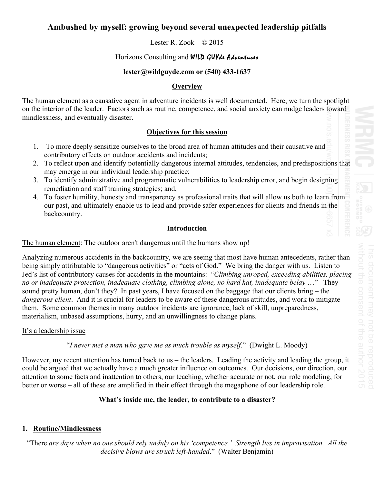# **Ambushed by myself: growing beyond several unexpected leadership pitfalls**

Lester R. Zook © 2015

## Horizons Consulting and WILD GUYLe Adventures

## **lester@wildguyde.com or (540) 433-1637**

## **Overview**

The human element as a causative agent in adventure incidents is well documented. Here, we turn the spotlight on the interior of the leader. Factors such as routine, competence, and social anxiety can nudge leaders toward mindlessness, and eventually disaster.

## **Objectives for this session**

- 1. To more deeply sensitize ourselves to the broad area of human attitudes and their causative and contributory effects on outdoor accidents and incidents;
- 2. To reflect upon and identify potentially dangerous internal attitudes, tendencies, and predispositions that may emerge in our individual leadership practice;
- 3. To identify administrative and programmatic vulnerabilities to leadership error, and begin designing remediation and staff training strategies; and,
- 4. To foster humility, honesty and transparency as professional traits that will allow us both to learn from our past, and ultimately enable us to lead and provide safer experiences for clients and friends in the backcountry.

## **Introduction**

The human element: The outdoor aren't dangerous until the humans show up!

Analyzing numerous accidents in the backcountry, we are seeing that most have human antecedents, rather than being simply attributable to "dangerous activities" or "acts of God." We bring the danger with us. Listen to Jed's list of contributory causes for accidents in the mountains: "*Climbing unroped, exceeding abilities, placing no or inadequate protection, inadequate clothing, climbing alone, no hard hat, inadequate belay* …" They sound pretty human, don't they? In past years, I have focused on the baggage that our clients bring – the *dangerous client*. And it is crucial for leaders to be aware of these dangerous attitudes, and work to mitigate them. Some common themes in many outdoor incidents are ignorance, lack of skill, unpreparedness, materialism, unbased assumptions, hurry, and an unwillingness to change plans.

## It's a leadership issue

"*I never met a man who gave me as much trouble as myself*." (Dwight L. Moody)

However, my recent attention has turned back to us – the leaders. Leading the activity and leading the group, it could be argued that we actually have a much greater influence on outcomes. Our decisions, our direction, our attention to some facts and inattention to others, our teaching, whether accurate or not, our role modeling, for better or worse – all of these are amplified in their effect through the megaphone of our leadership role.

## **What's inside me, the leader, to contribute to a disaster?**

## **1. Routine/Mindlessness**

"There *are days when no one should rely unduly on his 'competence.' Strength lies in improvisation. All the decisive blows are struck left-handed*." (Walter Benjamin)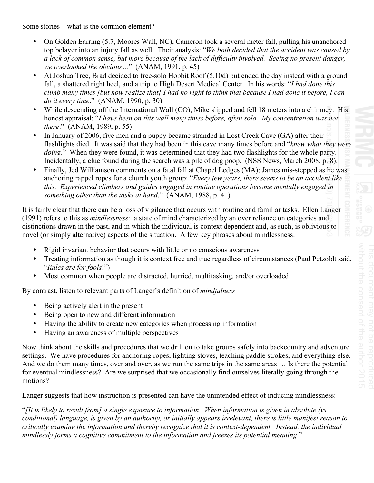Some stories – what is the common element?

- On Golden Earring (5.7, Moores Wall, NC), Cameron took a several meter fall, pulling his unanchored top belayer into an injury fall as well. Their analysis: "*We both decided that the accident was caused by a lack of common sense, but more because of the lack of difficulty involved. Seeing no present danger, we overlooked the obvious…*" (ANAM, 1991, p. 45)
- At Joshua Tree, Brad decided to free-solo Hobbit Roof (5.10d) but ended the day instead with a ground fall, a shattered right heel, and a trip to High Desert Medical Center. In his words: "*I had done this climb many times [but now realize that] I had no right to think that because I had done it before, I can do it every time*." (ANAM, 1990, p. 30)
- While descending off the International Wall (CO), Mike slipped and fell 18 meters into a chimney. His honest appraisal: "*I have been on this wall many times before, often solo. My concentration was not there*." (ANAM, 1989, p. 55)
- In January of 2006, five men and a puppy became stranded in Lost Creek Cave (GA) after their flashlights died. It was said that they had been in this cave many times before and "*knew what they were doing.*" When they were found, it was determined that they had two flashlights for the whole party. Incidentally, a clue found during the search was a pile of dog poop. (NSS News, March 2008, p. 8).
- Finally, Jed Williamson comments on a fatal fall at Chapel Ledges (MA); James mis-stepped as he was anchoring rappel ropes for a church youth group: "*Every few years, there seems to be an accident like this. Experienced climbers and guides engaged in routine operations become mentally engaged in something other than the tasks at hand*." (ANAM, 1988, p. 41)

It is fairly clear that there can be a loss of vigilance that occurs with routine and familiar tasks. Ellen Langer (1991) refers to this as *mindlessness*: a state of mind characterized by an over reliance on categories and distinctions drawn in the past, and in which the individual is context dependent and, as such, is oblivious to novel (or simply alternative) aspects of the situation. A few key phrases about mindlessness:

- Rigid invariant behavior that occurs with little or no conscious awareness
- Treating information as though it is context free and true regardless of circumstances (Paul Petzoldt said, "*Rules are for fools*!")
- Most common when people are distracted, hurried, multitasking, and/or overloaded

By contrast, listen to relevant parts of Langer's definition of *mindfulness* 

- Being actively alert in the present
- Being open to new and different information
- Having the ability to create new categories when processing information
- Having an awareness of multiple perspectives

Now think about the skills and procedures that we drill on to take groups safely into backcountry and adventure settings. We have procedures for anchoring ropes, lighting stoves, teaching paddle strokes, and everything else. And we do them many times, over and over, as we run the same trips in the same areas … Is there the potential for eventual mindlessness? Are we surprised that we occasionally find ourselves literally going through the motions?

Langer suggests that how instruction is presented can have the unintended effect of inducing mindlessness:

"*[It is likely to result from] a single exposure to information. When information is given in absolute (vs. conditional) language, is given by an authority, or initially appears irrelevant, there is little manifest reason to critically examine the information and thereby recognize that it is context-dependent. Instead, the individual mindlessly forms a cognitive commitment to the information and freezes its potential meaning*."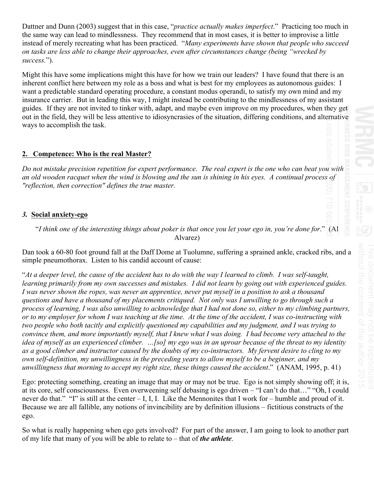Dattner and Dunn (2003) suggest that in this case, "*practice actually makes imperfect*." Practicing too much in the same way can lead to mindlessness. They recommend that in most cases, it is better to improvise a little instead of merely recreating what has been practiced. "*Many experiments have shown that people who succeed on tasks are less able to change their approaches, even after circumstances change (being "wrecked by success.*").

Might this have some implications might this have for how we train our leaders? I have found that there is an inherent conflict here between my role as a boss and what is best for my employees as autonomous guides: I want a predictable standard operating procedure, a constant modus operandi, to satisfy my own mind and my insurance carrier. But in leading this way, I might instead be contributing to the mindlessness of my assistant guides. If they are not invited to tinker with, adapt, and maybe even improve on my procedures, when they get out in the field, they will be less attentive to idiosyncrasies of the situation, differing conditions, and alternative ways to accomplish the task.

## **2. Competence: Who is the real Master?**

*Do not mistake precision repetition for expert performance. The real expert is the one who can beat you with an old wooden racquet when the wind is blowing and the sun is shining in his eyes. A continual process of "reflection, then correction" defines the true master.* 

## *3.* **Social anxiety-ego**

"*I think one of the interesting things about poker is that once you let your ego in, you're done for*." (Al Alvarez)

Dan took a 60-80 foot ground fall at the Daff Dome at Tuolumne, suffering a sprained ankle, cracked ribs, and a simple pneumothorax. Listen to his candid account of cause:

"*At a deeper level, the cause of the accident has to do with the way I learned to climb. I was self-taught, learning primarily from my own successes and mistakes. I did not learn by going out with experienced guides. I was never shown the ropes, was never an apprentice, never put myself in a position to ask a thousand questions and have a thousand of my placements critiqued. Not only was I unwilling to go through such a process of learning, I was also unwilling to acknowledge that I had not done so, either to my climbing partners, or to my employer for whom I was teaching at the time. At the time of the accident, I was co-instructing with two people who both tacitly and explicitly questioned my capabilities and my judgment, and I was trying to convince them, and more importantly myself, that I knew what I was doing. I had become very attached to the idea of myself as an experienced climber. …[so] my ego was in an uproar because of the threat to my identity as a good climber and instructor caused by the doubts of my co-instructors. My fervent desire to cling to my own self-definition, my unwillingness in the preceding years to allow myself to be a beginner, and my unwillingness that morning to accept my right size, these things caused the accident*." (ANAM, 1995, p. 41)

Ego: protecting something, creating an image that may or may not be true. Ego is not simply showing off; it is, at its core, self consciousness. Even overweening self debasing is ego driven – "I can't do that…" "Oh, I could never do that." "I" is still at the center  $- I, I, I$ . Like the Mennonites that I work for – humble and proud of it. Because we are all fallible, any notions of invincibility are by definition illusions – fictitious constructs of the ego.

So what is really happening when ego gets involved? For part of the answer, I am going to look to another part of my life that many of you will be able to relate to – that of *the athlete*.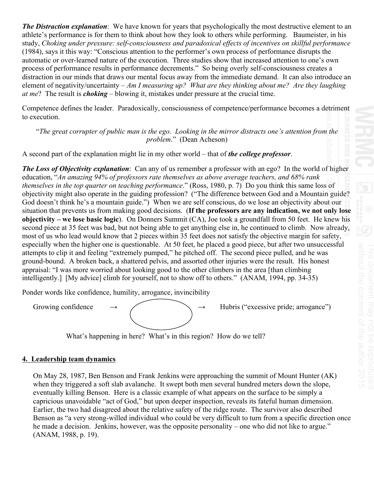*The Distraction explanation*: We have known for years that psychologically the most destructive element to an athlete's performance is for them to think about how they look to others while performing. Baumeister, in his study, *Choking under pressure: self-consciousness and paradoxical effects of incentives on skillful performance* (1984), says it this way: "Conscious attention to the performer's own process of performance disrupts the automatic or over-learned nature of the execution. Three studies show that increased attention to one's own process of performance results in performance decrements." So being overly self-consciousness creates a distraction in our minds that draws our mental focus away from the immediate demand. It can also introduce an element of negativity/uncertainty – *Am I measuring up? What are they thinking about me? Are they laughing at me*? The result is *choking* – blowing it, mistakes under pressure at the crucial time. Competence defines the leader. Paradoxically, consciousness of competence/performance becomes a detriment to execution.

"*The great corrupter of public man is the ego. Looking in the mirror distracts one's attention from the problem*." (Dean Acheson)

A second part of the explanation might lie in my other world – that of *the college professor*.

*The Loss of Objectivity explanation*: Can any of us remember a professor with an ego? In the world of higher education, "*An amazing 94% of professors rate themselves as above average teachers, and 68% rank themselves in the top quarter on teaching performance*." (Ross, 1980, p. 7) Do you think this same loss of objectivity might also operate in the guiding profession? ("The difference between God and a Mountain guide? God doesn't think he's a mountain guide.") When we are self conscious, do we lose an objectivity about our situation that prevents us from making good decisions. (**If the professors are any indication, we not only lose objectivity – we lose basic logic**). On Donners Summit (CA), Joe took a groundfall from 50 feet. He knew his second piece at 35 feet was bad, but not being able to get anything else in, he continued to climb. Now already, most of us who lead would know that 2 pieces within 35 feet does not satisfy the objective margin for safety, especially when the higher one is questionable. At 50 feet, he placed a good piece, but after two unsuccessful attempts to clip it and feeling "extremely pumped," he pitched off. The second piece pulled, and he was ground-bound. A broken back, a shattered pelvis, and assorted other injuries were the result. His honest appraisal: "I was more worried about looking good to the other climbers in the area [than climbing intelligently.] [My advice] climb for yourself, not to show off to others." (ANAM, 1994, pp. 34-35)

Ponder words like confidence, humility, arrogance, invincibility

Growing confidence  $\rightarrow$   $\rightarrow$  Hubris ("excessive pride; arrogance")

What's happening in here? What's in this region? How do we tell?

## **4. Leadership team dynamics**

On May 28, 1987, Ben Benson and Frank Jenkins were approaching the summit of Mount Hunter (AK) when they triggered a soft slab avalanche. It swept both men several hundred meters down the slope, eventually killing Benson. Here is a classic example of what appears on the surface to be simply a capricious unavoidable "act of God," but upon deeper inspection, reveals its fateful human dimension. Earlier, the two had disagreed about the relative safety of the ridge route. The survivor also described Benson as "a very strong-willed individual who could be very difficult to turn from a specific direction once he made a decision. Jenkins, however, was the opposite personality – one who did not like to argue." (ANAM, 1988, p. 19).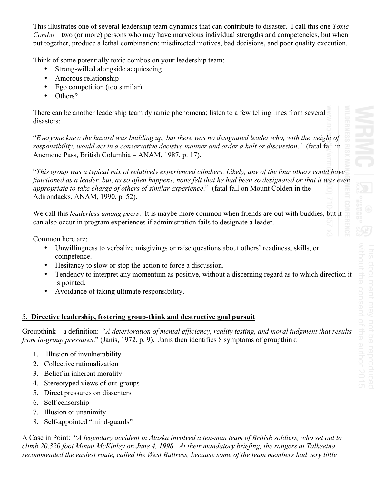This illustrates one of several leadership team dynamics that can contribute to disaster. I call this one *Toxic Combo* – two (or more) persons who may have marvelous individual strengths and competencies, but when put together, produce a lethal combination: misdirected motives, bad decisions, and poor quality execution.

Think of some potentially toxic combos on your leadership team:

- Strong-willed alongside acquiescing
- Amorous relationship
- Ego competition (too similar)
- Others?

There can be another leadership team dynamic phenomena; listen to a few telling lines from several disasters:

"*Everyone knew the hazard was building up, but there was no designated leader who, with the weight of responsibility, would act in a conservative decisive manner and order a halt or discussion*." (fatal fall in Anemone Pass, British Columbia – ANAM, 1987, p. 17).

"*This group was a typical mix of relatively experienced climbers. Likely, any of the four others could have functioned as a leader, but, as so often happens, none felt that he had been so designated or that it was even appropriate to take charge of others of similar experience*." (fatal fall on Mount Colden in the Adirondacks, ANAM, 1990, p. 52).

We call this *leaderless among peers*. It is maybe more common when friends are out with buddies, but it can also occur in program experiences if administration fails to designate a leader.

Common here are:

- Unwillingness to verbalize misgivings or raise questions about others' readiness, skills, or competence.
- Hesitancy to slow or stop the action to force a discussion.
- Tendency to interpret any momentum as positive, without a discerning regard as to which direction it is pointed.
- Avoidance of taking ultimate responsibility.

## 5. **Directive leadership, fostering group-think and destructive goal pursuit**

Groupthink – a definition: "*A deterioration of mental efficiency, reality testing, and moral judgment that results from in-group pressures*." (Janis, 1972, p. 9). Janis then identifies 8 symptoms of groupthink:

- 1. Illusion of invulnerability
- 2. Collective rationalization
- 3. Belief in inherent morality
- 4. Stereotyped views of out-groups
- 5. Direct pressures on dissenters
- 6. Self censorship
- 7. Illusion or unanimity
- 8. Self-appointed "mind-guards"

A Case in Point: "*A legendary accident in Alaska involved a ten-man team of British soldiers, who set out to climb 20,320 foot Mount McKinley on June 4, 1998. At their mandatory briefing, the rangers at Talkeetna recommended the easiest route, called the West Buttress, because some of the team members had very little*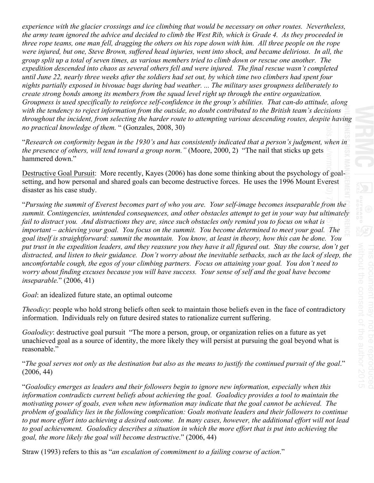*experience with the glacier crossings and ice climbing that would be necessary on other routes. Nevertheless, the army team ignored the advice and decided to climb the West Rib, which is Grade 4. As they proceeded in three rope teams, one man fell, dragging the others on his rope down with him. All three people on the rope were injured, but one, Steve Brown, suffered head injuries, went into shock, and became delirious. In all, the group split up a total of seven times, as various members tried to climb down or rescue one another. The expedition descended into chaos as several others fell and were injured. The final rescue wasn't completed until June 22, nearly three weeks after the soldiers had set out, by which time two climbers had spent four nights partially exposed in bivouac bags during bad weather. ... The military uses groupness deliberately to create strong bonds among its members from the squad level right up through the entire organization. Groupness is used specifically to reinforce self-confidence in the group's abilities. That can-do attitude, along with the tendency to reject information from the outside, no doubt contributed to the British team's decisions throughout the incident, from selecting the harder route to attempting various descending routes, despite having no practical knowledge of them.* " (Gonzales, 2008, 30)

"*Research on conformity began in the 1930's and has consistently indicated that a person's judgment, when in the presence of others, will tend toward a group norm."* (Moore, 2000, 2) "The nail that sticks up gets hammered down."

Destructive Goal Pursuit: More recently, Kayes (2006) has done some thinking about the psychology of goalsetting, and how personal and shared goals can become destructive forces. He uses the 1996 Mount Everest disaster as his case study.

"*Pursuing the summit of Everest becomes part of who you are. Your self-image becomes inseparable from the summit. Contingencies, unintended consequences, and other obstacles attempt to get in your way but ultimately fail to distract you. And distractions they are, since such obstacles only remind you to focus on what is important – achieving your goal. You focus on the summit. You become determined to meet your goal. The goal itself is straightforward: summit the mountain. You know, at least in theory, how this can be done. You put trust in the expedition leaders, and they reassure you they have it all figured out. Stay the course, don't get distracted, and listen to their guidance. Don't worry about the inevitable setbacks, such as the lack of sleep, the uncomfortable cough, the egos of your climbing partners. Focus on attaining your goal. You don't need to worry about finding excuses because you will have success. Your sense of self and the goal have become inseparable.*" (2006, 41)

*Goal*: an idealized future state, an optimal outcome

*Theodicy*: people who hold strong beliefs often seek to maintain those beliefs even in the face of contradictory information. Individuals rely on future desired states to rationalize current suffering.

*Goalodicy*: destructive goal pursuit "The more a person, group, or organization relies on a future as yet unachieved goal as a source of identity, the more likely they will persist at pursuing the goal beyond what is reasonable."

"*The goal serves not only as the destination but also as the means to justify the continued pursuit of the goal*." (2006, 44)

"*Goalodicy emerges as leaders and their followers begin to ignore new information, especially when this information contradicts current beliefs about achieving the goal. Goalodicy provides a tool to maintain the motivating power of goals, even when new information may indicate that the goal cannot be achieved. The problem of goalidicy lies in the following complication: Goals motivate leaders and their followers to continue to put more effort into achieving a desired outcome. In many cases, however, the additional effort will not lead to goal achievement. Goalodicy describes a situation in which the more effort that is put into achieving the goal, the more likely the goal will become destructive*." (2006, 44)

Straw (1993) refers to this as "*an escalation of commitment to a failing course of action*."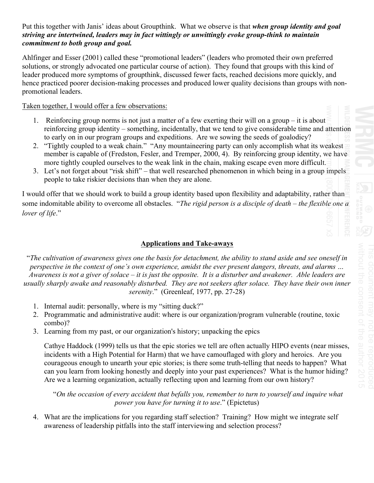#### Put this together with Janis' ideas about Groupthink. What we observe is that *when group identity and goal striving are intertwined, leaders may in fact wittingly or unwittingly evoke group-think to maintain commitment to both group and goal.*

Ahlfinger and Esser (2001) called these "promotional leaders" (leaders who promoted their own preferred solutions, or strongly advocated one particular course of action). They found that groups with this kind of leader produced more symptoms of groupthink, discussed fewer facts, reached decisions more quickly, and hence practiced poorer decision-making processes and produced lower quality decisions than groups with nonpromotional leaders.

#### Taken together, I would offer a few observations:

- 1. Reinforcing group norms is not just a matter of a few exerting their will on a group it is about reinforcing group identity – something, incidentally, that we tend to give considerable time and attention to early on in our program groups and expeditions. Are we sowing the seeds of goalodicy?
- 2. "Tightly coupled to a weak chain." "Any mountaineering party can only accomplish what its weakest member is capable of (Fredston, Fesler, and Tremper, 2000, 4). By reinforcing group identity, we have more tightly coupled ourselves to the weak link in the chain, making escape even more difficult.
- 3. Let's not forget about "risk shift" that well researched phenomenon in which being in a group impels people to take riskier decisions than when they are alone.

I would offer that we should work to build a group identity based upon flexibility and adaptability, rather than some indomitable ability to overcome all obstacles. "*The rigid person is a disciple of death – the flexible one a lover of life*."

## **Applications and Take-aways**

"*The cultivation of awareness gives one the basis for detachment, the ability to stand aside and see oneself in perspective in the context of one's own experience, amidst the ever present dangers, threats, and alarms … Awareness is not a giver of solace – it is just the opposite. It is a disturber and awakener. Able leaders are usually sharply awake and reasonably disturbed. They are not seekers after solace. They have their own inner serenity*." (Greenleaf, 1977, pp. 27-28)

- 1. Internal audit: personally, where is my "sitting duck?"
- 2. Programmatic and administrative audit: where is our organization/program vulnerable (routine, toxic combo)?
- 3. Learning from my past, or our organization's history; unpacking the epics

Cathye Haddock (1999) tells us that the epic stories we tell are often actually HIPO events (near misses, incidents with a High Potential for Harm) that we have camouflaged with glory and heroics. Are you courageous enough to unearth your epic stories; is there some truth-telling that needs to happen? What can you learn from looking honestly and deeply into your past experiences? What is the humor hiding? Are we a learning organization, actually reflecting upon and learning from our own history?

"*On the occasion of every accident that befalls you, remember to turn to yourself and inquire what power you have for turning it to use*." (Epictetus)

4. What are the implications for you regarding staff selection? Training? How might we integrate self awareness of leadership pitfalls into the staff interviewing and selection process?